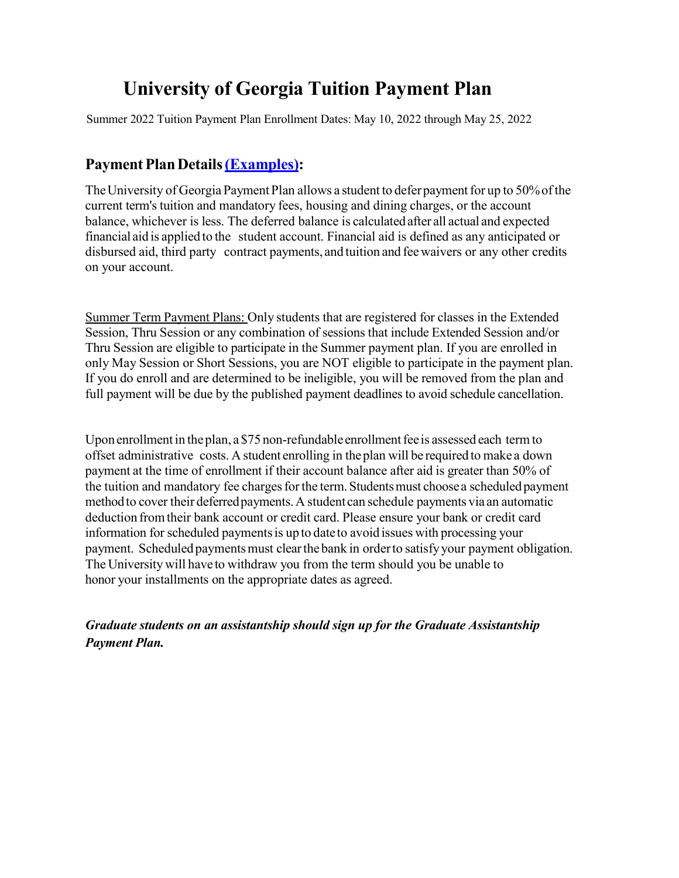# **University of Georgia Tuition Payment Plan**

Summer 2022 Tuition Payment Plan Enrollment Dates: May 10, 2022 through May 25, 2022

# **Payment Plan Details (Examples):**

The University of Georgia Payment Plan allows a student to defer payment for up to 50% of the current term's tuition and mandatory fees, housing and dining charges, or the account balance, whichever is less. The deferred balance is calculated after all actual and expected financial aid is applied to the student account. Financial aid is defined as any anticipated or disbursed aid, third party contract payments, and tuition and feewaivers or any other credits on your account.

Summer Term Payment Plans: Only students that are registered for classes in the Extended Session, Thru Session or any combination of sessions that include Extended Session and/or Thru Session are eligible to participate in the Summer payment plan. If you are enrolled in only May Session or Short Sessions, you are NOT eligible to participate in the payment plan. If you do enroll and are determined to be ineligible, you will be removed from the plan and full payment will be due by the published payment deadlines to avoid schedule cancellation.

Upon enrollment in the plan,  $a$  \$75 non-refundable enrollment fee is assessed each term to offset administrative costs. A student enrolling in theplan will be required to make a down payment at the time of enrollment if their account balance after aid is greater than 50% of the tuition and mandatory fee charges for the term. Students must choose a scheduled payment method to cover their deferred payments. A student can schedule payments via an automatic deduction fromtheir bank account or credit card. Please ensure your bank or credit card information for scheduled payments is up to dateto avoid issues with processing your payment. Scheduled payments must clear the bank in order to satisfy your payment obligation. The Universitywill have to withdraw you from the term should you be unable to honor your installments on the appropriate dates as agreed.

# *Graduate students on an assistantship should sign up for the Graduate Assistantship Payment Plan.*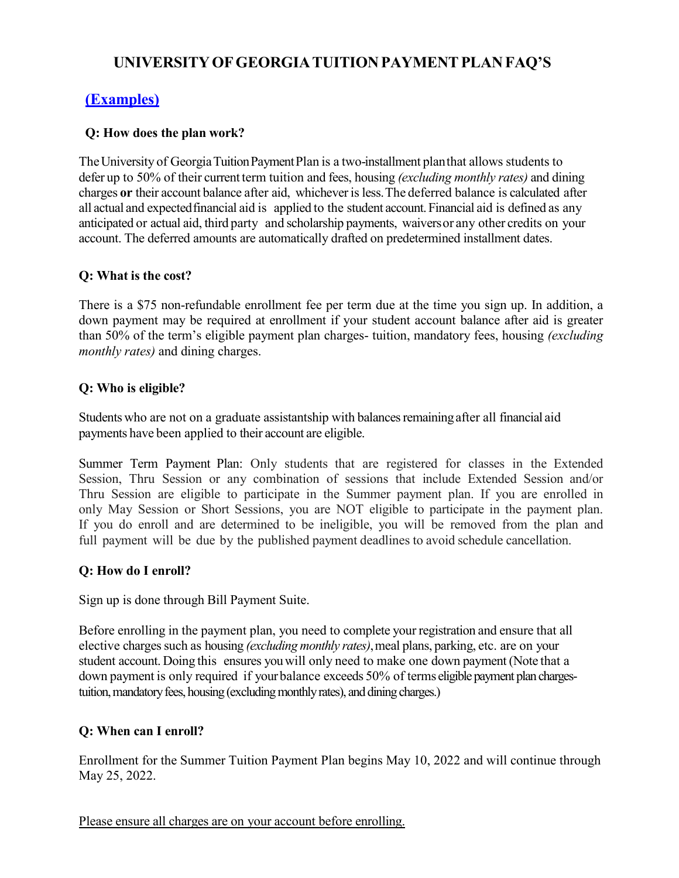# **UNIVERSITY OF GEORGIATUITIONPAYMENTPLANFAQ'S**

# **(Examples)**

## **Q: How does the plan work?**

The University of Georgia Tuition Payment Plan is a two-installment planthat allows students to defer up to 50% of their current term tuition and fees, housing *(excluding monthly rates)* and dining charges **or** their account balance after aid, whicheverisless.The deferred balance is calculated after all actual and expected financial aid is applied to the student account. Financial aid is defined as any anticipated or actual aid, third party and scholarship payments, waiversor any other credits on your account. The deferred amounts are automatically drafted on predetermined installment dates.

## **Q: What is the cost?**

There is a \$75 non-refundable enrollment fee per term due at the time you sign up. In addition, a down payment may be required at enrollment if your student account balance after aid is greater than 50% of the term's eligible payment plan charges- tuition, mandatory fees, housing *(excluding monthly rates)* and dining charges.

## **Q: Who is eligible?**

Students who are not on a graduate assistantship with balances remainingafter all financial aid payments have been applied to their account are eligible.

Summer Term Payment Plan: Only students that are registered for classes in the Extended Session, Thru Session or any combination of sessions that include Extended Session and/or Thru Session are eligible to participate in the Summer payment plan. If you are enrolled in only May Session or Short Sessions, you are NOT eligible to participate in the payment plan. If you do enroll and are determined to be ineligible, you will be removed from the plan and full payment will be due by the published payment deadlines to avoid schedule cancellation.

# **Q: How do I enroll?**

Sign up is done through Bill Payment Suite.

Before enrolling in the payment plan, you need to complete your registration and ensure that all elective charges such as housing *(excluding monthly rates)*, meal plans, parking, etc. are on your student account. Doing this ensures youwill only need to make one down payment (Note that a down payment is only required if yourbalance exceeds 50% of terms eligible payment plan chargestuition, mandatory fees, housing (excluding monthly rates), and dining charges.)

# **Q: When can I enroll?**

Enrollment for the Summer Tuition Payment Plan begins May 10, 2022 and will continue through May 25, 2022.

Please ensure all charges are on your account before enrolling.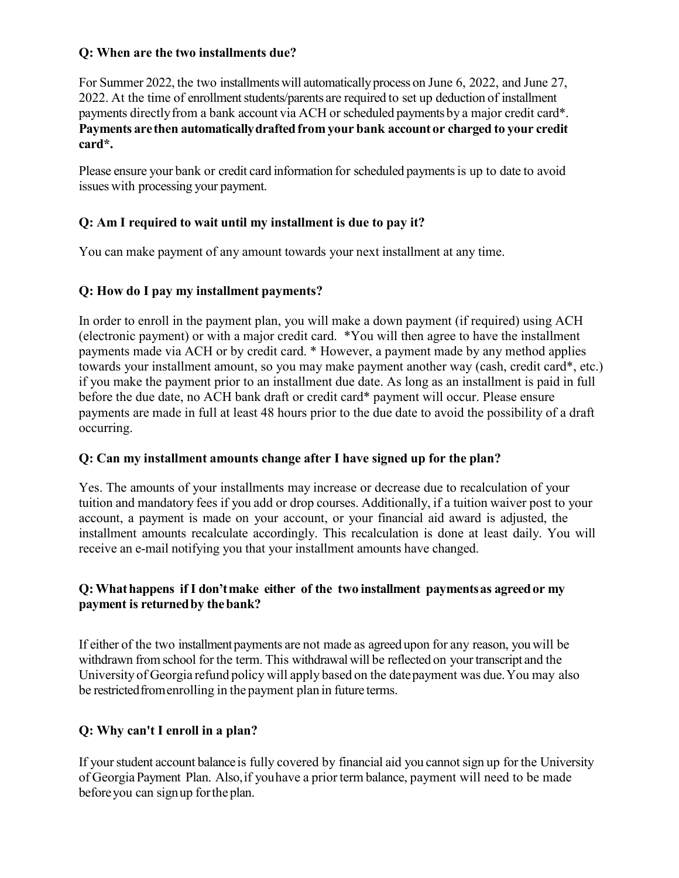#### **Q: When are the two installments due?**

For Summer 2022, the two installments will automatically process on June 6, 2022, and June 27, 2022. At the time of enrollment students/parents are required to set up deduction of installment payments directly from a bank account via ACH or scheduled payments by a major credit card\*. **Payments are then automaticallydraftedfrom your bank account or charged to your credit card\*.**

Please ensure your bank or credit card information for scheduled payments is up to date to avoid issues with processing your payment.

#### **Q: Am I required to wait until my installment is due to pay it?**

You can make payment of any amount towards your next installment at any time.

#### **Q: How do I pay my installment payments?**

In order to enroll in the payment plan, you will make a down payment (if required) using ACH (electronic payment) or with a major credit card. \*You will then agree to have the installment payments made via ACH or by credit card. \* However, a payment made by any method applies towards your installment amount, so you may make payment another way (cash, credit card\*, etc.) if you make the payment prior to an installment due date. As long as an installment is paid in full before the due date, no ACH bank draft or credit card\* payment will occur. Please ensure payments are made in full at least 48 hours prior to the due date to avoid the possibility of a draft occurring.

#### **Q: Can my installment amounts change after I have signed up for the plan?**

Yes. The amounts of your installments may increase or decrease due to recalculation of your tuition and mandatory fees if you add or drop courses. Additionally, if a tuition waiver post to your account, a payment is made on your account, or your financial aid award is adjusted, the installment amounts recalculate accordingly. This recalculation is done at least daily. You will receive an e-mail notifying you that your installment amounts have changed.

#### **Q:Whathappens if I don'tmake either of the two installment paymentsas agreedor my payment is returnedby thebank?**

If either of the two installment payments are not made as agreed upon for any reason, you will be withdrawn from school for the term. This withdrawal will be reflected on your transcript and the University of Georgia refund policy will apply based on the datepayment was due.You may also be restrictedfromenrolling in the payment plan in future terms.

#### **Q: Why can't I enroll in a plan?**

If your student account balance is fully covered by financial aid you cannot sign up for the University of GeorgiaPayment Plan. Also,if youhave a prior term balance, payment will need to be made beforeyou can signup forthe plan.